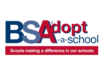

## Scouts making a difference in our schools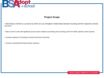

## **Project Scope**

• BSA Adopt-a-School is a process by which we can strengthen relationships between Scouting and the respective schools we serve

• Help Council's units with significant access issues related to promoting and recruiting youth from within specific school systems

• Increase exposure of Scouting to schools and local community

• Increase membership through positive exposure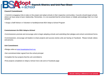

#### **Council Commitment:**

• Commit to engaging Units to take on this project and adopt schools in their respective communities. Councils should target schools where we have areas of poor relationship. Remember, it is not essential that the school desire or initially acknowledge that it is in fact adopted.

• Assign a Staff Advisor or Volunteer to handle/promote BSA Adopt-a-School Program

#### **Commissioners for BSA Adopt-a-School**

•Commissioners promote and encourage units to begin adopting schools and submitting their pledges and school commitment forms.

•Commissioners, encourage unit leaders to share projects and success stories units are having on Facebook. Please include videos and pictures.

#### **Unit Commitment:**

- •Pledge online at [www.bsaadoptaschool.org](http://www.bsaadoptaschool.org/)
- •Get commitment letter signed from the school principal
- •Complete the four projects that the unit committed to
- •Post projects completed on Adopt a School micro site and on Facebook page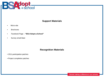

## **Support Materials**

- Micro-site
- Brochures
- Facebook Page **"BSA Adopt-a-School"**
- Survey email blast

#### **Recognition Materials**

- 2011 participation patches
- Project completion patches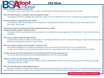## **FAQ Sheet**

What is the time commitment for the unit?

We request a year's commitment, but our hope is to build strong, sustained relationships with these schools.

How much time (weekly or monthly) is the unit expected to give?

Your pledge would be to complete one project per quarter, but if you would like to do more, it would be encouraged and supported.

What commitment is expected from the school?

 We expect the school representatives to be cooperative in identifying their needs and in helping to outline the projects that will best satisfy those needs.

What do we expect the Scouts to be doing? Cleaning around the school?

Doing construction projects? Working events?

 We expect school representatives and scout leaders to do projects that are age appropriate. Please follow "Guide to Safe Scouting" guidelines.

Who do you expect to make the initial contact?

 It might be the unit Scout Leader, Commissioner, or a Scouting professional , but we recommend that your contact person be the person who has the strongest connection to a local school.

#### Who do we need to speak to first? Principal? Teachers? PTA?

We would encourage you to contact the principal first, then involve teachers and the PTA on an as-needed basis. In some school districts you may need to get approval from the superintendent first, before making contact with the principal.

Can the unit opt out of the commitment if it's not working for them? Can the school opt out? Yes, but we hope both parties will do everything possible to honor the one-year pledge.

#### What if a school is not interested in being adopted?

 There are many ways to approach this situation, please contact Adopt-a-School so that we may assist you in building a successful relationship with your school.

How do I deal with unions? Who speaks to them?

 Before you officially meet with school officials, we recommend you call them and identify which union representatives might also need to be included in your initial meeting. Then sit down with all concerned to decide the school's needs and how Scouts can be of assistance.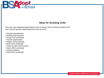

## **Ideas for Scouting Units**

Here are a few potential project ideas to get us started, but our priority remains to let your school's specific needs determine how we serve.

- Grounds beautification
- Building improvements
- Giving Tree coordinate
- Teacher appreciation
- Helpers during festivals
- Book Drive coordinate
- Clean-up after school events
- Green effort coordinate
- Literacy program
- Food Drive coordinate

Scouts making a difference in our schools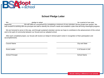

#### **School Pledge Letter**

We, \_\_\_\_\_\_\_\_\_\_\_\_\_\_\_\_\_\_\_\_\_\_\_\_ , pledge to adopt \_\_\_\_\_\_\_\_\_\_\_\_\_\_\_\_\_\_\_\_\_\_\_\_\_\_\_\_\_\_\_\_\_\_\_\_\_\_ for a period of one year, beginning \_\_\_\_\_\_\_\_\_\_\_\_\_. We will fulfill our commitment by completing a minimum of one volunteer service project per quarter. We look forward to working with the principal and staff to identify the school's needs and establish a plan that will bring meaningful progress.

We are honored to serve in this way, and through sustained volunteer service we hope to contribute to the advancement of this school and to the spirit of community between our Scouts and our adopted school.

After each completed project, our Scouts will receive an Adopt-A-School patch rocker in recognition of their participation and accomplishments.

\_\_\_\_\_\_\_\_\_\_\_\_\_\_\_\_\_\_\_\_\_\_\_\_\_\_\_\_\_\_\_\_\_\_\_\_\_\_\_\_\_\_\_\_\_\_\_ \_\_\_\_\_\_\_\_\_\_\_\_\_\_\_\_\_\_\_\_\_\_\_\_\_\_\_\_\_\_\_\_\_\_\_\_\_\_\_

\_\_\_\_\_\_\_\_\_\_\_\_\_\_\_\_\_\_\_\_\_\_\_\_\_\_\_\_\_\_\_\_\_\_\_\_\_\_\_\_\_\_\_\_\_\_\_ \_\_\_\_\_\_\_\_\_\_\_\_\_\_\_\_\_\_\_\_\_\_\_\_\_\_\_\_\_\_\_\_\_\_\_\_\_\_\_

**Council Name** Council Name City and State Council Name City and State City and State City and State City and State City and State City and State City and State City and State City and State City and State City and State C

School Principal School Name

Scout Leader # of Scouts in Unit

\_\_\_\_\_\_\_\_\_\_\_\_\_\_\_\_\_\_\_\_\_\_\_\_\_\_\_\_\_\_\_\_\_\_\_\_\_\_\_\_\_\_\_\_\_\_\_ \_\_\_\_\_\_\_\_\_\_\_\_\_\_\_\_\_\_\_\_\_\_\_\_\_\_\_\_\_\_\_\_\_\_\_\_\_\_\_